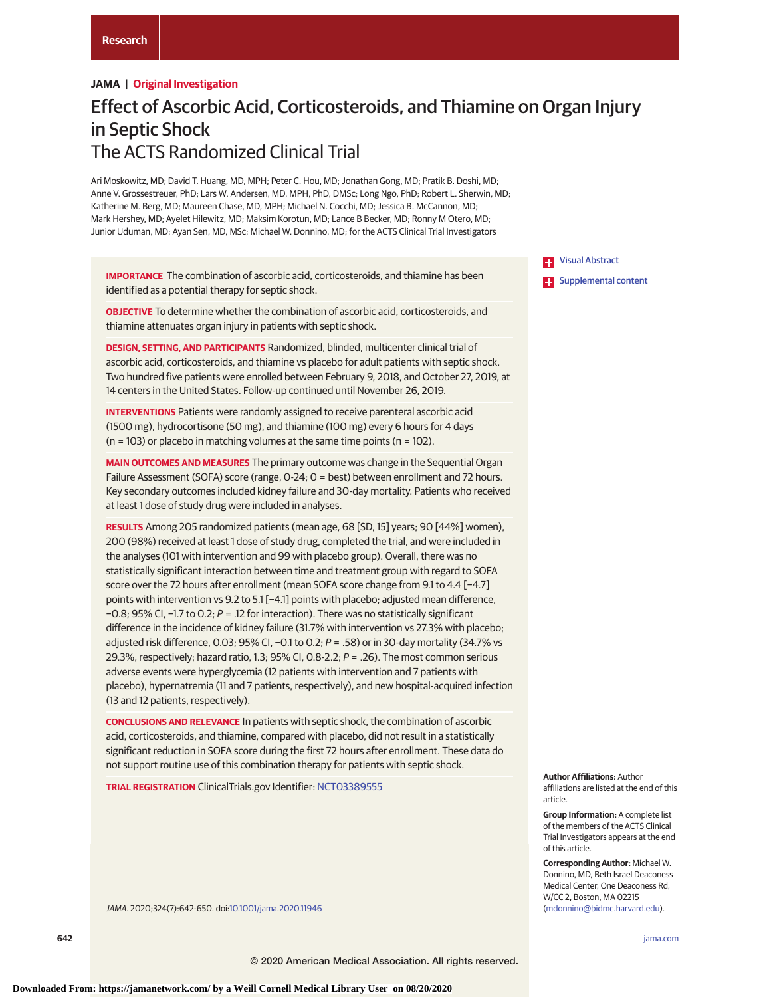# **JAMA | Original Investigation**

# Effect of Ascorbic Acid, Corticosteroids, and Thiamine on Organ Injury in Septic Shock The ACTS Randomized Clinical Trial

Ari Moskowitz, MD; David T. Huang, MD, MPH; Peter C. Hou, MD; Jonathan Gong, MD; Pratik B. Doshi, MD; Anne V. Grossestreuer, PhD; Lars W. Andersen, MD, MPH, PhD, DMSc; Long Ngo, PhD; Robert L. Sherwin, MD; Katherine M. Berg, MD; Maureen Chase, MD, MPH; Michael N. Cocchi, MD; Jessica B. McCannon, MD; Mark Hershey, MD; Ayelet Hilewitz, MD; Maksim Korotun, MD; Lance B Becker, MD; Ronny M Otero, MD; Junior Uduman, MD; Ayan Sen, MD, MSc; Michael W. Donnino, MD; for the ACTS Clinical Trial Investigators

**IMPORTANCE** The combination of ascorbic acid, corticosteroids, and thiamine has been identified as a potential therapy for septic shock.

**OBJECTIVE** To determine whether the combination of ascorbic acid, corticosteroids, and thiamine attenuates organ injury in patients with septic shock.

**DESIGN, SETTING, AND PARTICIPANTS** Randomized, blinded, multicenter clinical trial of ascorbic acid, corticosteroids, and thiamine vs placebo for adult patients with septic shock. Two hundred five patients were enrolled between February 9, 2018, and October 27, 2019, at 14 centers in the United States. Follow-up continued until November 26, 2019.

**INTERVENTIONS** Patients were randomly assigned to receive parenteral ascorbic acid (1500 mg), hydrocortisone (50 mg), and thiamine (100 mg) every 6 hours for 4 days  $(n = 103)$  or placebo in matching volumes at the same time points  $(n = 102)$ .

**MAIN OUTCOMES AND MEASURES** The primary outcome was change in the Sequential Organ Failure Assessment (SOFA) score (range, 0-24; 0 = best) between enrollment and 72 hours. Key secondary outcomes included kidney failure and 30-day mortality. Patients who received at least 1 dose of study drug were included in analyses.

**RESULTS** Among 205 randomized patients (mean age, 68 [SD, 15] years; 90 [44%] women), 200 (98%) received at least 1 dose of study drug, completed the trial, and were included in the analyses (101 with intervention and 99 with placebo group). Overall, there was no statistically significant interaction between time and treatment group with regard to SOFA score over the 72 hours after enrollment (mean SOFA score change from 9.1 to 4.4 [−4.7] points with intervention vs 9.2 to 5.1 [−4.1] points with placebo; adjusted mean difference, −0.8; 95% CI, −1.7 to 0.2; P = .12 for interaction). There was no statistically significant difference in the incidence of kidney failure (31.7% with intervention vs 27.3% with placebo; adjusted risk difference, 0.03; 95% CI, -0.1 to 0.2; P = .58) or in 30-day mortality (34.7% vs 29.3%, respectively; hazard ratio, 1.3; 95% CI, 0.8-2.2;  $P = .26$ ). The most common serious adverse events were hyperglycemia (12 patients with intervention and 7 patients with placebo), hypernatremia (11 and 7 patients, respectively), and new hospital-acquired infection (13 and 12 patients, respectively).

**CONCLUSIONS AND RELEVANCE** In patients with septic shock, the combination of ascorbic acid, corticosteroids, and thiamine, compared with placebo, did not result in a statistically significant reduction in SOFA score during the first 72 hours after enrollment. These data do not support routine use of this combination therapy for patients with septic shock.

**TRIAL REGISTRATION** ClinicalTrials.gov Identifier: [NCT03389555](https://clinicaltrials.gov/ct2/show/NCT03389555)

JAMA. 2020;324(7):642-650. doi[:10.1001/jama.2020.11946](https://jamanetwork.com/journals/jama/fullarticle/10.1001/jama.2020.11946?utm_campaign=articlePDF%26utm_medium=articlePDFlink%26utm_source=articlePDF%26utm_content=jama.2020.11946)

**Example 3 [Visual Abstract](https://jamanetwork.com/journals/jama/fullarticle/10.1001/jama.2020.11946?utm_campaign=articlePDF%26utm_medium=articlePDFlink%26utm_source=articlePDF%26utm_content=jama.2020.11946) Examplemental content** 

**Author Affiliations:** Author affiliations are listed at the end of this article.

**Group Information:** A complete list of the members of the ACTS Clinical Trial Investigators appears at the end of this article.

**Corresponding Author:** Michael W. Donnino, MD, Beth Israel Deaconess Medical Center, One Deaconess Rd, W/CC 2, Boston, MA 02215 [\(mdonnino@bidmc.harvard.edu\)](mailto:mdonnino@bidmc.harvard.edu).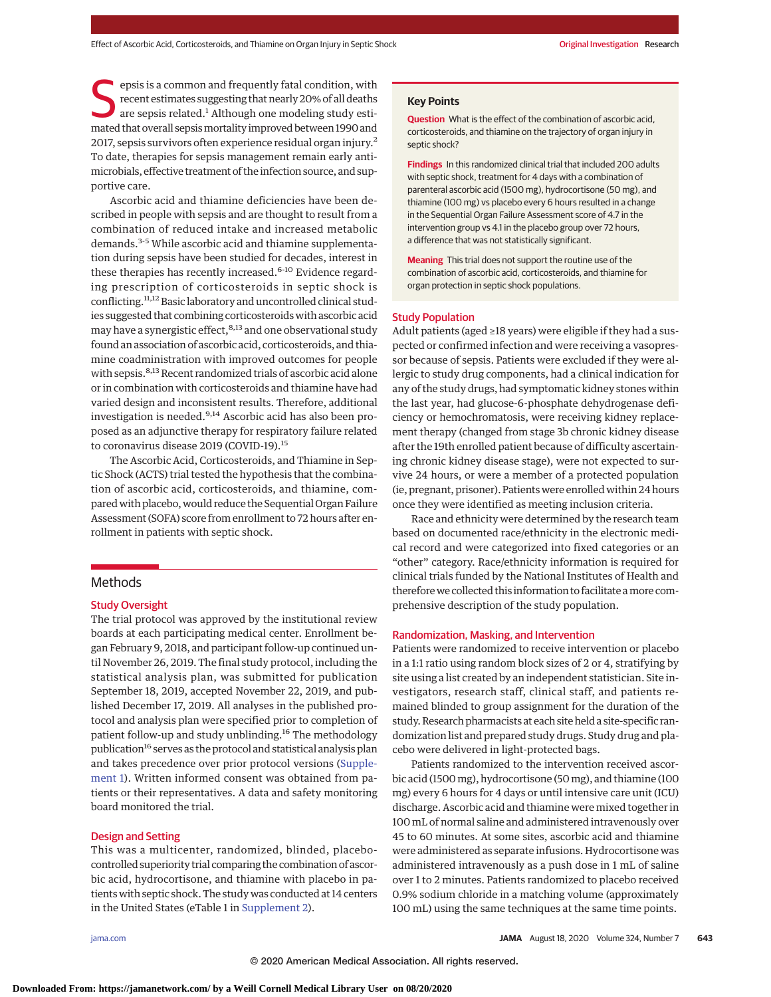epsis is a common and frequently fatal condition, with recent estimates suggesting that nearly 20% of all deaths are sepsis related.<sup>1</sup> Although one modeling study estimated that overall sepsismortality improved between 1990 and 2017, sepsis survivors often experience residual organ injury.2 To date, therapies for sepsis management remain early antimicrobials, effective treatment of the infection source, and supportive care.

Ascorbic acid and thiamine deficiencies have been described in people with sepsis and are thought to result from a combination of reduced intake and increased metabolic demands.3-5 While ascorbic acid and thiamine supplementation during sepsis have been studied for decades, interest in these therapies has recently increased.<sup>6-10</sup> Evidence regarding prescription of corticosteroids in septic shock is conflicting.<sup>11,12</sup> Basic laboratory and uncontrolled clinical studies suggested that combining corticosteroids with ascorbic acid may have a synergistic effect, <sup>8,13</sup> and one observational study found an association of ascorbic acid, corticosteroids, and thiamine coadministration with improved outcomes for people with sepsis.<sup>8,13</sup> Recent randomized trials of ascorbic acid alone or in combination with corticosteroids and thiamine have had varied design and inconsistent results. Therefore, additional investigation is needed.<sup>9,14</sup> Ascorbic acid has also been proposed as an adjunctive therapy for respiratory failure related to coronavirus disease 2019 (COVID-19).<sup>15</sup>

The Ascorbic Acid, Corticosteroids, and Thiamine in Septic Shock (ACTS) trial tested the hypothesis that the combination of ascorbic acid, corticosteroids, and thiamine, compared with placebo, would reduce the Sequential Organ Failure Assessment (SOFA) score from enrollment to 72 hours after enrollment in patients with septic shock.

# Methods

## Study Oversight

The trial protocol was approved by the institutional review boards at each participating medical center. Enrollment began February 9, 2018, and participant follow-up continued until November 26, 2019. The final study protocol, including the statistical analysis plan, was submitted for publication September 18, 2019, accepted November 22, 2019, and published December 17, 2019. All analyses in the published protocol and analysis plan were specified prior to completion of patient follow-up and study unblinding.<sup>16</sup> The methodology publication<sup>16</sup> serves as the protocol and statistical analysis plan and takes precedence over prior protocol versions [\(Supple](https://jamanetwork.com/journals/jama/fullarticle/10.1001/jama.2020.11946?utm_campaign=articlePDF%26utm_medium=articlePDFlink%26utm_source=articlePDF%26utm_content=jama.2020.11946)[ment 1\)](https://jamanetwork.com/journals/jama/fullarticle/10.1001/jama.2020.11946?utm_campaign=articlePDF%26utm_medium=articlePDFlink%26utm_source=articlePDF%26utm_content=jama.2020.11946). Written informed consent was obtained from patients or their representatives. A data and safety monitoring board monitored the trial.

## Design and Setting

This was a multicenter, randomized, blinded, placebocontrolled superiority trial comparing the combination of ascorbic acid, hydrocortisone, and thiamine with placebo in patients with septic shock. The study was conducted at 14 centers in the United States (eTable 1 in [Supplement 2\)](https://jamanetwork.com/journals/jama/fullarticle/10.1001/jama.2020.11946?utm_campaign=articlePDF%26utm_medium=articlePDFlink%26utm_source=articlePDF%26utm_content=jama.2020.11946).

**Key Points**

**Question** What is the effect of the combination of ascorbic acid, corticosteroids, and thiamine on the trajectory of organ injury in septic shock?

**Findings** In this randomized clinical trial that included 200 adults with septic shock, treatment for 4 days with a combination of parenteral ascorbic acid (1500 mg), hydrocortisone (50 mg), and thiamine (100 mg) vs placebo every 6 hours resulted in a change in the Sequential Organ Failure Assessment score of 4.7 in the intervention group vs 4.1 in the placebo group over 72 hours, a difference that was not statistically significant.

**Meaning** This trial does not support the routine use of the combination of ascorbic acid, corticosteroids, and thiamine for organ protection in septic shock populations.

#### Study Population

Adult patients (aged ≥18 years) were eligible if they had a suspected or confirmed infection and were receiving a vasopressor because of sepsis. Patients were excluded if they were allergic to study drug components, had a clinical indication for any of the study drugs, had symptomatic kidney stones within the last year, had glucose-6-phosphate dehydrogenase deficiency or hemochromatosis, were receiving kidney replacement therapy (changed from stage 3b chronic kidney disease after the 19th enrolled patient because of difficulty ascertaining chronic kidney disease stage), were not expected to survive 24 hours, or were a member of a protected population (ie, pregnant, prisoner). Patients were enrolled within 24 hours once they were identified as meeting inclusion criteria.

Race and ethnicity were determined by the research team based on documented race/ethnicity in the electronic medical record and were categorized into fixed categories or an "other" category. Race/ethnicity information is required for clinical trials funded by the National Institutes of Health and thereforewe collected this information to facilitate amore comprehensive description of the study population.

## Randomization, Masking, and Intervention

Patients were randomized to receive intervention or placebo in a 1:1 ratio using random block sizes of 2 or 4, stratifying by site using a list created by an independent statistician. Site investigators, research staff, clinical staff, and patients remained blinded to group assignment for the duration of the study. Research pharmacists at each site held a site-specific randomization list and prepared study drugs. Study drug and placebo were delivered in light-protected bags.

Patients randomized to the intervention received ascorbic acid (1500 mg), hydrocortisone (50 mg), and thiamine (100 mg) every 6 hours for 4 days or until intensive care unit (ICU) discharge. Ascorbic acid and thiamine were mixed together in 100 mL of normal saline and administered intravenously over 45 to 60 minutes. At some sites, ascorbic acid and thiamine were administered as separate infusions. Hydrocortisone was administered intravenously as a push dose in 1 mL of saline over 1 to 2 minutes. Patients randomized to placebo received 0.9% sodium chloride in a matching volume (approximately 100 mL) using the same techniques at the same time points.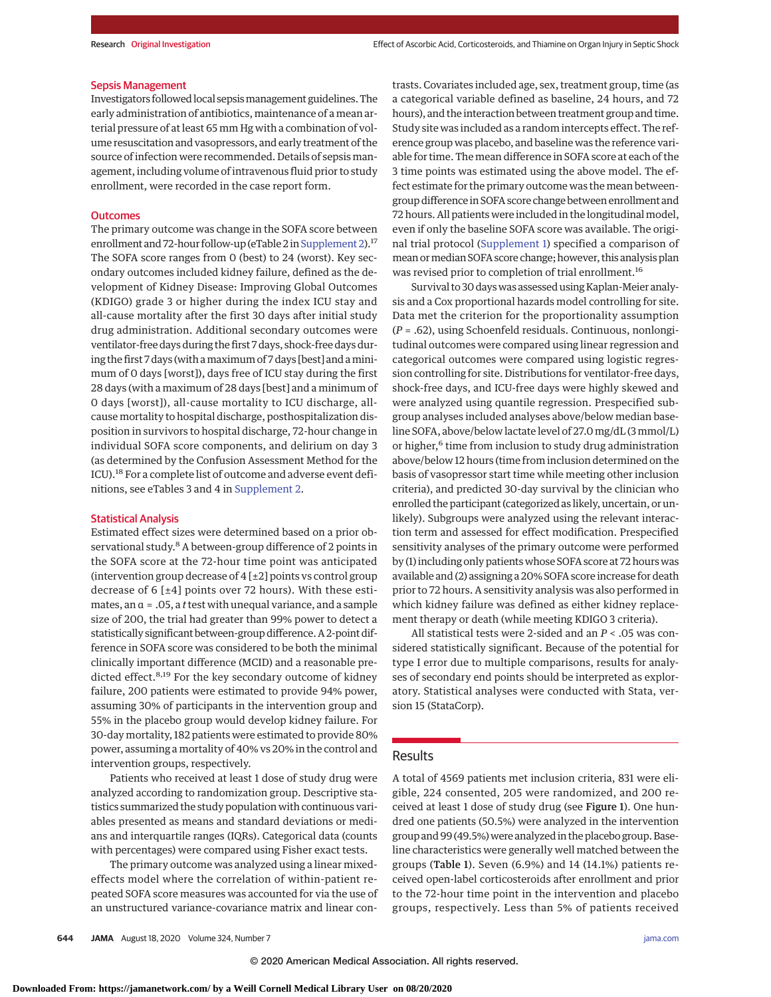#### Sepsis Management

Investigators followed local sepsismanagement guidelines. The early administration of antibiotics, maintenance of a mean arterial pressure of at least 65 mm Hg with a combination of volume resuscitation and vasopressors, and early treatment of the source of infection were recommended. Details of sepsis management, including volume of intravenous fluid prior to study enrollment, were recorded in the case report form.

## **Outcomes**

The primary outcome was change in the SOFA score between enrollment and 72-hour follow-up (eTable 2 in [Supplement 2\)](https://jamanetwork.com/journals/jama/fullarticle/10.1001/jama.2020.11946?utm_campaign=articlePDF%26utm_medium=articlePDFlink%26utm_source=articlePDF%26utm_content=jama.2020.11946).<sup>17</sup> The SOFA score ranges from 0 (best) to 24 (worst). Key secondary outcomes included kidney failure, defined as the development of Kidney Disease: Improving Global Outcomes (KDIGO) grade 3 or higher during the index ICU stay and all-cause mortality after the first 30 days after initial study drug administration. Additional secondary outcomes were ventilator-free days during the first 7 days, shock-free days during the first 7 days (with a maximum of 7 days [best] and a minimum of 0 days [worst]), days free of ICU stay during the first 28 days (with a maximum of 28 days [best] and a minimum of 0 days [worst]), all-cause mortality to ICU discharge, allcause mortality to hospital discharge, posthospitalization disposition in survivors to hospital discharge, 72-hour change in individual SOFA score components, and delirium on day 3 (as determined by the Confusion Assessment Method for the ICU).<sup>18</sup> For a complete list of outcome and adverse event definitions, see eTables 3 and 4 in [Supplement 2.](https://jamanetwork.com/journals/jama/fullarticle/10.1001/jama.2020.11946?utm_campaign=articlePDF%26utm_medium=articlePDFlink%26utm_source=articlePDF%26utm_content=jama.2020.11946)

# Statistical Analysis

Estimated effect sizes were determined based on a prior observational study.<sup>8</sup> A between-group difference of 2 points in the SOFA score at the 72-hour time point was anticipated (intervention group decrease of 4 [±2] points vs control group decrease of 6 [±4] points over 72 hours). With these estimates, an α = .05, a *t*test with unequal variance, and a sample size of 200, the trial had greater than 99% power to detect a statistically significant between-group difference. A 2-point difference in SOFA score was considered to be both the minimal clinically important difference (MCID) and a reasonable predicted effect.<sup>8,19</sup> For the key secondary outcome of kidney failure, 200 patients were estimated to provide 94% power, assuming 30% of participants in the intervention group and 55% in the placebo group would develop kidney failure. For 30-day mortality, 182 patients were estimated to provide 80% power, assuming a mortality of 40% vs 20% in the control and intervention groups, respectively.

Patients who received at least 1 dose of study drug were analyzed according to randomization group. Descriptive statistics summarized the study population with continuous variables presented as means and standard deviations or medians and interquartile ranges (IQRs). Categorical data (counts with percentages) were compared using Fisher exact tests.

The primary outcome was analyzed using a linear mixedeffects model where the correlation of within-patient repeated SOFA score measures was accounted for via the use of an unstructured variance-covariance matrix and linear contrasts. Covariates included age, sex, treatment group, time (as a categorical variable defined as baseline, 24 hours, and 72 hours), and the interaction between treatment group and time. Study site was included as a random intercepts effect. The reference group was placebo, and baseline was the reference variable for time. The mean difference in SOFA score at each of the 3 time points was estimated using the above model. The effect estimate for the primary outcome was the mean betweengroup difference in SOFA score change between enrollment and 72 hours. All patients were included in the longitudinal model, even if only the baseline SOFA score was available. The original trial protocol [\(Supplement 1\)](https://jamanetwork.com/journals/jama/fullarticle/10.1001/jama.2020.11946?utm_campaign=articlePDF%26utm_medium=articlePDFlink%26utm_source=articlePDF%26utm_content=jama.2020.11946) specified a comparison of mean or median SOFA score change; however, this analysis plan was revised prior to completion of trial enrollment.<sup>16</sup>

Survival to 30 days was assessed using Kaplan-Meier analysis and a Cox proportional hazards model controlling for site. Data met the criterion for the proportionality assumption (*P* = .62), using Schoenfeld residuals. Continuous, nonlongitudinal outcomes were compared using linear regression and categorical outcomes were compared using logistic regression controlling for site. Distributions for ventilator-free days, shock-free days, and ICU-free days were highly skewed and were analyzed using quantile regression. Prespecified subgroup analyses included analyses above/below median baseline SOFA, above/below lactate level of 27.0 mg/dL (3 mmol/L) or higher,<sup>6</sup> time from inclusion to study drug administration above/below 12 hours (time from inclusion determined on the basis of vasopressor start time while meeting other inclusion criteria), and predicted 30-day survival by the clinician who enrolled the participant (categorized as likely, uncertain, or unlikely). Subgroups were analyzed using the relevant interaction term and assessed for effect modification. Prespecified sensitivity analyses of the primary outcome were performed by (1) including only patients whose SOFA score at 72 hours was available and (2) assigning a 20% SOFA score increase for death prior to 72 hours. A sensitivity analysis was also performed in which kidney failure was defined as either kidney replacement therapy or death (while meeting KDIGO 3 criteria).

All statistical tests were 2-sided and an *P* < .05 was considered statistically significant. Because of the potential for type I error due to multiple comparisons, results for analyses of secondary end points should be interpreted as exploratory. Statistical analyses were conducted with Stata, version 15 (StataCorp).

## Results

A total of 4569 patients met inclusion criteria, 831 were eligible, 224 consented, 205 were randomized, and 200 received at least 1 dose of study drug (see Figure 1). One hundred one patients (50.5%) were analyzed in the intervention group and 99 (49.5%) were analyzed in the placebo group. Baseline characteristics were generally well matched between the groups (Table 1). Seven (6.9%) and 14 (14.1%) patients received open-label corticosteroids after enrollment and prior to the 72-hour time point in the intervention and placebo groups, respectively. Less than 5% of patients received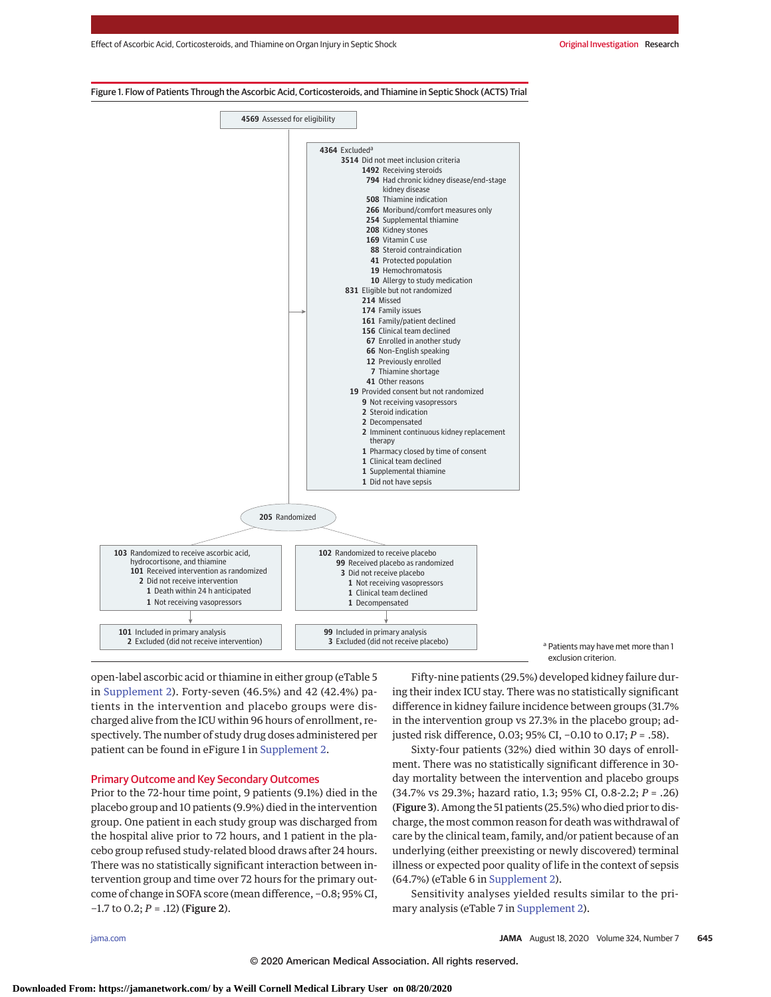

<sup>a</sup> Patients may have met more than 1 exclusion criterion.

open-label ascorbic acid or thiamine in either group (eTable 5 in [Supplement 2\)](https://jamanetwork.com/journals/jama/fullarticle/10.1001/jama.2020.11946?utm_campaign=articlePDF%26utm_medium=articlePDFlink%26utm_source=articlePDF%26utm_content=jama.2020.11946). Forty-seven (46.5%) and 42 (42.4%) patients in the intervention and placebo groups were discharged alive from the ICU within 96 hours of enrollment, respectively. The number of study drug doses administered per patient can be found in eFigure 1 in [Supplement 2.](https://jamanetwork.com/journals/jama/fullarticle/10.1001/jama.2020.11946?utm_campaign=articlePDF%26utm_medium=articlePDFlink%26utm_source=articlePDF%26utm_content=jama.2020.11946)

# Primary Outcome and Key Secondary Outcomes

Prior to the 72-hour time point, 9 patients (9.1%) died in the placebo group and 10 patients (9.9%) died in the intervention group. One patient in each study group was discharged from the hospital alive prior to 72 hours, and 1 patient in the placebo group refused study-related blood draws after 24 hours. There was no statistically significant interaction between intervention group and time over 72 hours for the primary outcome of change in SOFA score (mean difference, −0.8; 95% CI, −1.7 to 0.2; *P* = .12) (Figure 2).

Fifty-nine patients (29.5%) developed kidney failure during their index ICU stay. There was no statistically significant difference in kidney failure incidence between groups (31.7% in the intervention group vs 27.3% in the placebo group; adjusted risk difference, 0.03; 95% CI, −0.10 to 0.17; *P* = .58).

Sixty-four patients (32%) died within 30 days of enrollment. There was no statistically significant difference in 30 day mortality between the intervention and placebo groups (34.7% vs 29.3%; hazard ratio, 1.3; 95% CI, 0.8-2.2; *P* = .26) (Figure 3). Among the 51 patients (25.5%) who died prior to discharge, the most common reason for death was withdrawal of care by the clinical team, family, and/or patient because of an underlying (either preexisting or newly discovered) terminal illness or expected poor quality of life in the context of sepsis (64.7%) (eTable 6 in [Supplement 2\)](https://jamanetwork.com/journals/jama/fullarticle/10.1001/jama.2020.11946?utm_campaign=articlePDF%26utm_medium=articlePDFlink%26utm_source=articlePDF%26utm_content=jama.2020.11946).

Sensitivity analyses yielded results similar to the primary analysis (eTable 7 in [Supplement 2\)](https://jamanetwork.com/journals/jama/fullarticle/10.1001/jama.2020.11946?utm_campaign=articlePDF%26utm_medium=articlePDFlink%26utm_source=articlePDF%26utm_content=jama.2020.11946).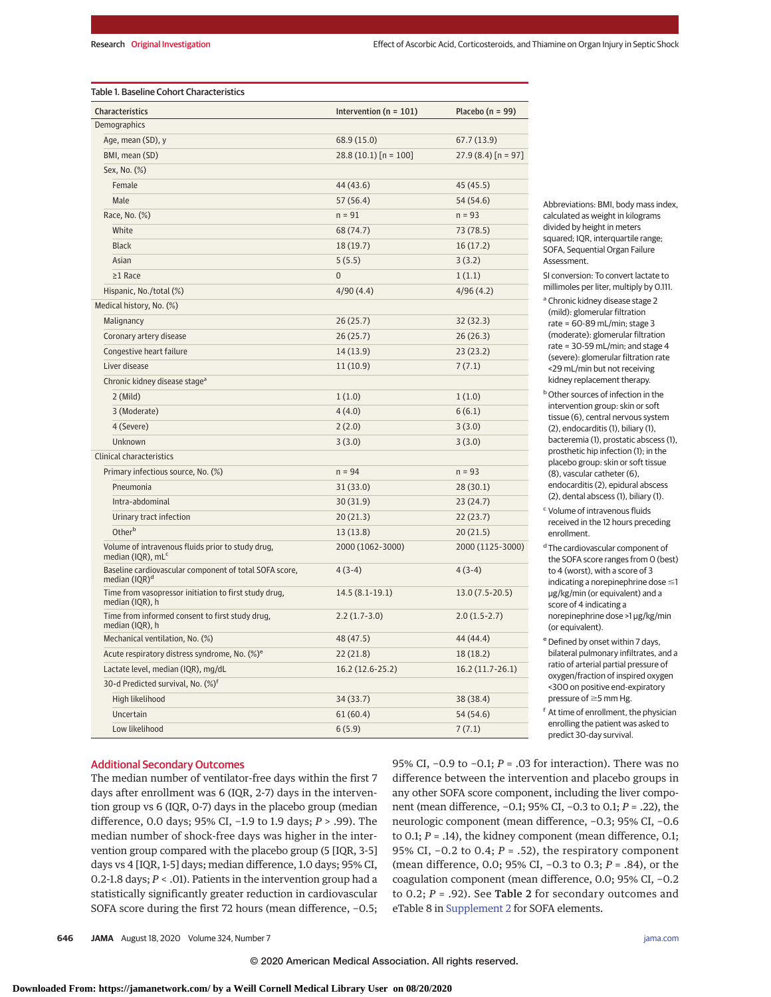| Characteristics                                                                    | Intervention ( $n = 101$ ) | Placebo ( $n = 99$ ) |  |
|------------------------------------------------------------------------------------|----------------------------|----------------------|--|
| Demographics                                                                       |                            |                      |  |
| Age, mean (SD), y                                                                  | 68.9 (15.0)                | 67.7 (13.9)          |  |
| BMI, mean (SD)                                                                     | $28.8(10.1)$ [n = 100]     | $27.9(8.4)$ [n = 97] |  |
| Sex, No. (%)                                                                       |                            |                      |  |
| Female                                                                             | 44 (43.6)                  | 45 (45.5)            |  |
| Male                                                                               | 57 (56.4)                  | 54 (54.6)            |  |
| Race, No. (%)                                                                      | $n = 91$                   | $n = 93$             |  |
| White                                                                              | 68 (74.7)                  | 73 (78.5)            |  |
| <b>Black</b>                                                                       | 18 (19.7)                  | 16(17.2)             |  |
| Asian                                                                              | 5(5.5)                     | 3(3.2)               |  |
| $\geq$ 1 Race                                                                      | $\overline{0}$             | 1(1.1)               |  |
| Hispanic, No./total (%)                                                            | 4/90(4.4)                  | 4/96(4.2)            |  |
| Medical history, No. (%)                                                           |                            |                      |  |
| Malignancy                                                                         | 26(25.7)                   | 32(32.3)             |  |
| Coronary artery disease                                                            | 26 (25.7)                  | 26(26.3)             |  |
| Congestive heart failure                                                           | 14 (13.9)                  | 23(23.2)             |  |
| Liver disease                                                                      | 11 (10.9)                  | 7(7.1)               |  |
| Chronic kidney disease stage <sup>a</sup>                                          |                            |                      |  |
| $2$ (Mild)                                                                         | 1(1.0)                     | 1(1.0)               |  |
| 3 (Moderate)                                                                       | 4(4.0)                     | 6(6.1)               |  |
| 4 (Severe)                                                                         | 2(2.0)                     | 3(3.0)               |  |
| Unknown                                                                            | 3(3.0)                     | 3(3.0)               |  |
| <b>Clinical characteristics</b>                                                    |                            |                      |  |
| Primary infectious source, No. (%)                                                 | $n = 94$                   | $n = 93$             |  |
| Pneumonia                                                                          | 31(33.0)                   | 28(30.1)             |  |
| Intra-abdominal                                                                    | 30 (31.9)                  | 23(24.7)             |  |
| Urinary tract infection                                                            | 20(21.3)                   | 22(23.7)             |  |
| Otherb                                                                             | 13(13.8)                   | 20(21.5)             |  |
| Volume of intravenous fluids prior to study drug,<br>median (IQR), mL <sup>c</sup> | 2000 (1062-3000)           | 2000 (1125-3000)     |  |
| Baseline cardiovascular component of total SOFA score,<br>median $(IQR)^d$         | $4(3-4)$                   | $4(3-4)$             |  |
| Time from vasopressor initiation to first study drug,<br>median (IQR), h           | $14.5(8.1-19.1)$           | $13.0(7.5-20.5)$     |  |
| Time from informed consent to first study drug,<br>median (IQR), h                 | $2.2(1.7-3.0)$             | $2.0(1.5-2.7)$       |  |
| Mechanical ventilation, No. (%)                                                    | 48 (47.5)                  | 44 (44.4)            |  |
| Acute respiratory distress syndrome, No. (%) <sup>e</sup>                          | 22 (21.8)                  | 18 (18.2)            |  |
| Lactate level, median (IQR), mg/dL                                                 | 16.2 (12.6-25.2)           | 16.2 (11.7-26.1)     |  |
| 30-d Predicted survival, No. (%) <sup>f</sup>                                      |                            |                      |  |
| High likelihood                                                                    | 34 (33.7)                  | 38 (38.4)            |  |
| Uncertain                                                                          | 61(60.4)<br>54 (54.6)      |                      |  |
| Low likelihood                                                                     | 6(5.9)                     | 7(7.1)               |  |

Abbreviations: BMI, body mass index, calculated as weight in kilograms divided by height in meters squared; IQR, interquartile range; SOFA, Sequential Organ Failure Assessment.

SI conversion: To convert lactate to millimoles per liter, multiply by 0.111.

<sup>a</sup> Chronic kidney disease stage 2 (mild): glomerular filtration rate = 60-89 mL/min; stage 3 (moderate): glomerular filtration rate = 30-59 mL/min; and stage 4 (severe): glomerular filtration rate <29 mL/min but not receiving kidney replacement therapy.

**b** Other sources of infection in the intervention group: skin or soft tissue (6), central nervous system (2), endocarditis (1), biliary (1), bacteremia (1), prostatic abscess (1), prosthetic hip infection (1); in the placebo group: skin or soft tissue (8), vascular catheter (6), endocarditis (2), epidural abscess (2), dental abscess (1), biliary (1).

<sup>c</sup> Volume of intravenous fluids received in the 12 hours preceding enrollment.

<sup>d</sup> The cardiovascular component of the SOFA score ranges from 0 (best) to 4 (worst), with a score of 3  $indicating a norepinephrine dose  $\leq 1$$ μg/kg/min (or equivalent) and a score of 4 indicating a norepinephrine dose >1 μg/kg/min (or equivalent).

<sup>e</sup> Defined by onset within 7 days, bilateral pulmonary infiltrates, and a ratio of arterial partial pressure of oxygen/fraction of inspired oxygen <300 on positive end-expiratory pressure of  $\geq$ 5 mm Hg.

f At time of enrollment, the physician enrolling the patient was asked to predict 30-day survival.

# Additional Secondary Outcomes

The median number of ventilator-free days within the first 7 days after enrollment was 6 (IQR, 2-7) days in the intervention group vs 6 (IQR, 0-7) days in the placebo group (median difference, 0.0 days; 95% CI, −1.9 to 1.9 days; *P* > .99). The median number of shock-free days was higher in the intervention group compared with the placebo group (5 [IQR, 3-5] days vs 4 [IQR, 1-5] days; median difference, 1.0 days; 95% CI, 0.2-1.8 days; *P* < .01). Patients in the intervention group had a statistically significantly greater reduction in cardiovascular SOFA score during the first 72 hours (mean difference, −0.5;

95% CI, −0.9 to −0.1; *P* = .03 for interaction). There was no difference between the intervention and placebo groups in any other SOFA score component, including the liver component (mean difference, −0.1; 95% CI, −0.3 to 0.1; *P* = .22), the neurologic component (mean difference, −0.3; 95% CI, −0.6 to 0.1; *P* = .14), the kidney component (mean difference, 0.1; 95% CI, −0.2 to 0.4; *P* = .52), the respiratory component (mean difference, 0.0; 95% CI, −0.3 to 0.3; *P* = .84), or the coagulation component (mean difference, 0.0; 95% CI, −0.2 to 0.2; *P* = .92). See Table 2 for secondary outcomes and eTable 8 in [Supplement 2](https://jamanetwork.com/journals/jama/fullarticle/10.1001/jama.2020.11946?utm_campaign=articlePDF%26utm_medium=articlePDFlink%26utm_source=articlePDF%26utm_content=jama.2020.11946) for SOFA elements.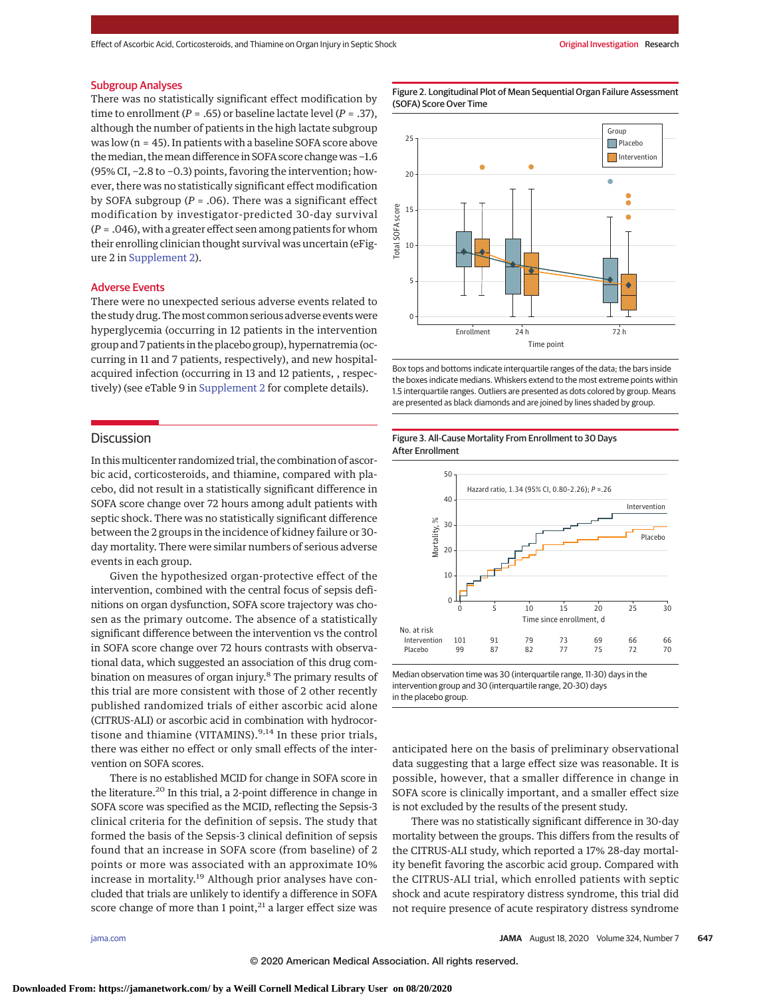#### Subgroup Analyses

There was no statistically significant effect modification by time to enrollment ( $P = .65$ ) or baseline lactate level ( $P = .37$ ), although the number of patients in the high lactate subgroup was low  $(n = 45)$ . In patients with a baseline SOFA score above themedian, themean difference in SOFA score change was −1.6 (95% CI, −2.8 to −0.3) points, favoring the intervention; however, there was no statistically significant effect modification by SOFA subgroup (*P* = .06). There was a significant effect modification by investigator-predicted 30-day survival (*P* = .046), with a greater effect seen among patients for whom their enrolling clinician thought survival was uncertain (eFigure 2 in [Supplement 2\)](https://jamanetwork.com/journals/jama/fullarticle/10.1001/jama.2020.11946?utm_campaign=articlePDF%26utm_medium=articlePDFlink%26utm_source=articlePDF%26utm_content=jama.2020.11946).

## Adverse Events

There were no unexpected serious adverse events related to the study drug. Themost common serious adverse events were hyperglycemia (occurring in 12 patients in the intervention group and 7 patients in the placebo group), hypernatremia (occurring in 11 and 7 patients, respectively), and new hospitalacquired infection (occurring in 13 and 12 patients, , respectively) (see eTable 9 in [Supplement 2](https://jamanetwork.com/journals/jama/fullarticle/10.1001/jama.2020.11946?utm_campaign=articlePDF%26utm_medium=articlePDFlink%26utm_source=articlePDF%26utm_content=jama.2020.11946) for complete details).

# **Discussion**

In thismulticenter randomized trial, the combination of ascorbic acid, corticosteroids, and thiamine, compared with placebo, did not result in a statistically significant difference in SOFA score change over 72 hours among adult patients with septic shock. There was no statistically significant difference between the 2 groups in the incidence of kidney failure or 30 day mortality. There were similar numbers of serious adverse events in each group.

Given the hypothesized organ-protective effect of the intervention, combined with the central focus of sepsis definitions on organ dysfunction, SOFA score trajectory was chosen as the primary outcome. The absence of a statistically significant difference between the intervention vs the control in SOFA score change over 72 hours contrasts with observational data, which suggested an association of this drug combination on measures of organ injury.8 The primary results of this trial are more consistent with those of 2 other recently published randomized trials of either ascorbic acid alone (CITRUS-ALI) or ascorbic acid in combination with hydrocortisone and thiamine (VITAMINS).<sup>9,14</sup> In these prior trials, there was either no effect or only small effects of the intervention on SOFA scores.

There is no established MCID for change in SOFA score in the literature.<sup>20</sup> In this trial, a 2-point difference in change in SOFA score was specified as the MCID, reflecting the Sepsis-3 clinical criteria for the definition of sepsis. The study that formed the basis of the Sepsis-3 clinical definition of sepsis found that an increase in SOFA score (from baseline) of 2 points or more was associated with an approximate 10% increase in mortality.<sup>19</sup> Although prior analyses have concluded that trials are unlikely to identify a difference in SOFA score change of more than 1 point, $21$  a larger effect size was

Figure 2. Longitudinal Plot of Mean Sequential Organ Failure Assessment (SOFA) Score Over Time



Box tops and bottoms indicate interquartile ranges of the data; the bars inside the boxes indicate medians. Whiskers extend to the most extreme points within 1.5 interquartile ranges. Outliers are presented as dots colored by group. Means are presented as black diamonds and are joined by lines shaded by group.

## Figure 3. All-Cause Mortality From Enrollment to 30 Days After Enrollment



Median observation time was 30 (interquartile range, 11-30) days in the intervention group and 30 (interquartile range, 20-30) days in the placebo group.

anticipated here on the basis of preliminary observational data suggesting that a large effect size was reasonable. It is possible, however, that a smaller difference in change in SOFA score is clinically important, and a smaller effect size is not excluded by the results of the present study.

There was no statistically significant difference in 30-day mortality between the groups. This differs from the results of the CITRUS-ALI study, which reported a 17% 28-day mortality benefit favoring the ascorbic acid group. Compared with the CITRUS-ALI trial, which enrolled patients with septic shock and acute respiratory distress syndrome, this trial did not require presence of acute respiratory distress syndrome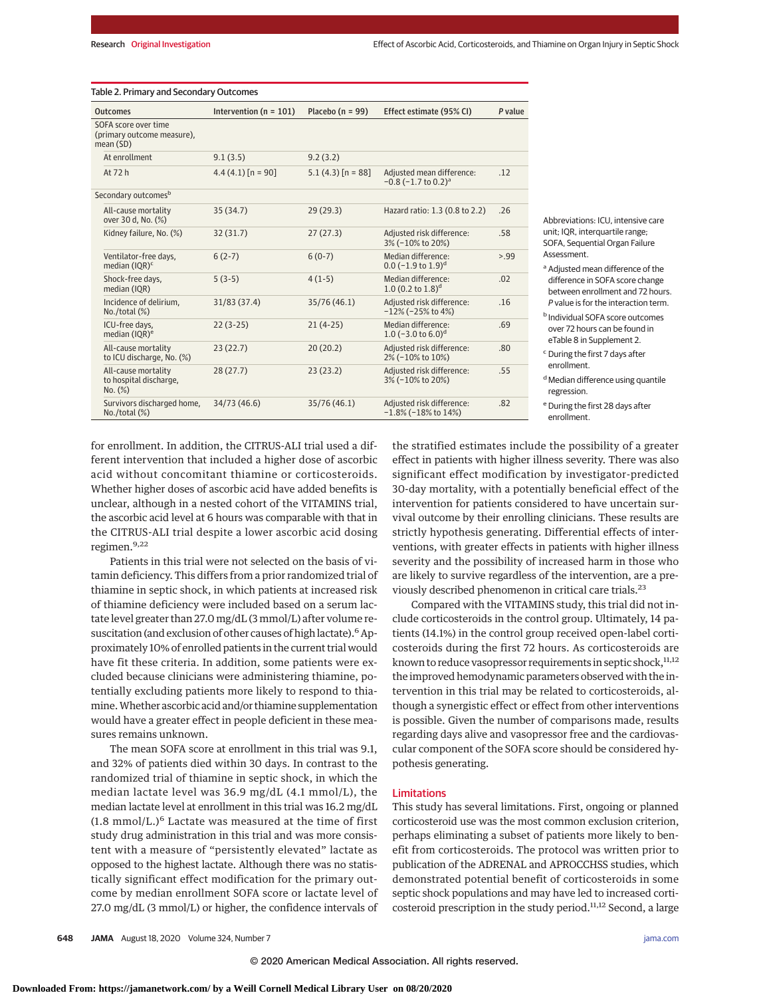| <b>Outcomes</b>                                                 | Intervention ( $n = 101$ ) | Placebo ( $n = 99$ )  | Effect estimate (95% CI)                                          | P value |
|-----------------------------------------------------------------|----------------------------|-----------------------|-------------------------------------------------------------------|---------|
| SOFA score over time<br>(primary outcome measure),<br>mean (SD) |                            |                       |                                                                   |         |
| At enrollment                                                   | 9.1(3.5)                   | 9.2(3.2)              |                                                                   |         |
| At 72 h                                                         | $4.4(4.1)$ [n = 90]        | $5.1(4.3)$ $[n = 88]$ | Adjusted mean difference:<br>$-0.8$ ( $-1.7$ to 0.2) <sup>a</sup> | .12     |
| Secondary outcomes <sup>b</sup>                                 |                            |                       |                                                                   |         |
| All-cause mortality<br>over 30 d, No. (%)                       | 35(34.7)                   | 29(29.3)              | Hazard ratio: 1.3 (0.8 to 2.2)                                    | .26     |
| Kidney failure, No. (%)                                         | 32(31.7)                   | 27(27.3)              | Adjusted risk difference:<br>3% (-10% to 20%)                     | .58     |
| Ventilator-free days,<br>median (IQR) <sup>c</sup>              | $6(2-7)$                   | $6(0-7)$              | Median difference:<br>$0.0$ (-1.9 to 1.9) <sup>d</sup>            | > 0.99  |
| Shock-free days,<br>median (IOR)                                | $5(3-5)$                   | $4(1-5)$              | Median difference:<br>1.0 $(0.2 \text{ to } 1.8)^d$               | .02     |
| Incidence of delirium,<br>No. / total (%)                       | 31/83 (37.4)               | 35/76 (46.1)          | Adjusted risk difference:<br>$-12\%$ (-25% to 4%)                 | .16     |
| ICU-free days,<br>median (IQR) <sup>e</sup>                     | $22(3-25)$                 | $21(4-25)$            | Median difference:<br>1.0 $(-3.0 \text{ to } 6.0)^d$              | .69     |
| All-cause mortality<br>to ICU discharge, No. (%)                | 23(22.7)                   | 20(20.2)              | Adjusted risk difference:<br>2% (-10% to 10%)                     | .80     |
| All-cause mortality<br>to hospital discharge,<br>No. (%)        | 28(27.7)                   | 23(23.2)              | Adjusted risk difference:<br>3% (-10% to 20%)                     | .55     |
| Survivors discharged home,<br>No. / total (%)                   | 34/73 (46.6)               | 35/76 (46.1)          | Adjusted risk difference:<br>$-1.8\%$ (-18% to 14%)               | .82     |

#### Table 2. Primary and Secondary Outcomes

Abbreviations: ICU, intensive care unit; IQR, interquartile range; SOFA, Sequential Organ Failure Assessment.

<sup>a</sup> Adjusted mean difference of the difference in SOFA score change between enrollment and 72 hours. P value is for the interaction term.

<sup>b</sup> Individual SOFA score outcomes over 72 hours can be found in eTable 8 in Supplement 2.

<sup>c</sup> During the first 7 days after enrollment.

<sup>d</sup> Median difference using quantile regression.

<sup>e</sup> During the first 28 days after enrollment.

for enrollment. In addition, the CITRUS-ALI trial used a different intervention that included a higher dose of ascorbic acid without concomitant thiamine or corticosteroids. Whether higher doses of ascorbic acid have added benefits is unclear, although in a nested cohort of the VITAMINS trial, the ascorbic acid level at 6 hours was comparable with that in the CITRUS-ALI trial despite a lower ascorbic acid dosing regimen.9,22

Patients in this trial were not selected on the basis of vitamin deficiency. This differs from a prior randomized trial of thiamine in septic shock, in which patients at increased risk of thiamine deficiency were included based on a serum lactate level greater than 27.0 mg/dL (3 mmol/L) after volume resuscitation (and exclusion of other causes of high lactate).<sup>6</sup> Approximately 10% of enrolled patients in the current trial would have fit these criteria. In addition, some patients were excluded because clinicians were administering thiamine, potentially excluding patients more likely to respond to thiamine.Whether ascorbic acid and/or thiamine supplementation would have a greater effect in people deficient in these measures remains unknown.

The mean SOFA score at enrollment in this trial was 9.1, and 32% of patients died within 30 days. In contrast to the randomized trial of thiamine in septic shock, in which the median lactate level was 36.9 mg/dL (4.1 mmol/L), the median lactate level at enrollment in this trial was 16.2 mg/dL  $(1.8 \text{ mmol/L.})^6$  Lactate was measured at the time of first study drug administration in this trial and was more consistent with a measure of "persistently elevated" lactate as opposed to the highest lactate. Although there was no statistically significant effect modification for the primary outcome by median enrollment SOFA score or lactate level of 27.0 mg/dL (3 mmol/L) or higher, the confidence intervals of the stratified estimates include the possibility of a greater effect in patients with higher illness severity. There was also significant effect modification by investigator-predicted 30-day mortality, with a potentially beneficial effect of the intervention for patients considered to have uncertain survival outcome by their enrolling clinicians. These results are strictly hypothesis generating. Differential effects of interventions, with greater effects in patients with higher illness severity and the possibility of increased harm in those who are likely to survive regardless of the intervention, are a previously described phenomenon in critical care trials.<sup>23</sup>

Compared with the VITAMINS study, this trial did not include corticosteroids in the control group. Ultimately, 14 patients (14.1%) in the control group received open-label corticosteroids during the first 72 hours. As corticosteroids are known to reduce vasopressor requirements in septic shock,  $^{11,12}$ the improved hemodynamic parameters observed with the intervention in this trial may be related to corticosteroids, although a synergistic effect or effect from other interventions is possible. Given the number of comparisons made, results regarding days alive and vasopressor free and the cardiovascular component of the SOFA score should be considered hypothesis generating.

#### Limitations

This study has several limitations. First, ongoing or planned corticosteroid use was the most common exclusion criterion, perhaps eliminating a subset of patients more likely to benefit from corticosteroids. The protocol was written prior to publication of the ADRENAL and APROCCHSS studies, which demonstrated potential benefit of corticosteroids in some septic shock populations and may have led to increased corticosteroid prescription in the study period.11,12 Second, a large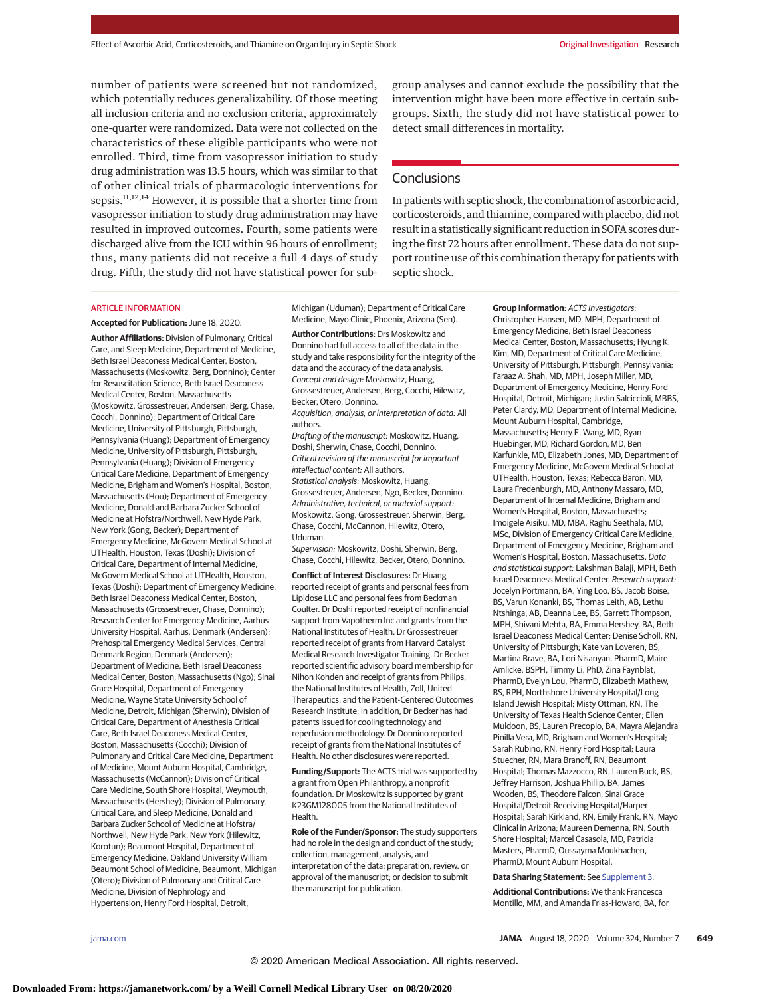number of patients were screened but not randomized, which potentially reduces generalizability. Of those meeting all inclusion criteria and no exclusion criteria, approximately one-quarter were randomized. Data were not collected on the characteristics of these eligible participants who were not enrolled. Third, time from vasopressor initiation to study drug administration was 13.5 hours, which was similar to that of other clinical trials of pharmacologic interventions for sepsis.<sup>11,12,14</sup> However, it is possible that a shorter time from vasopressor initiation to study drug administration may have resulted in improved outcomes. Fourth, some patients were discharged alive from the ICU within 96 hours of enrollment; thus, many patients did not receive a full 4 days of study drug. Fifth, the study did not have statistical power for subgroup analyses and cannot exclude the possibility that the intervention might have been more effective in certain subgroups. Sixth, the study did not have statistical power to detect small differences in mortality.

# **Conclusions**

In patients with septic shock, the combination of ascorbic acid, corticosteroids, and thiamine, compared with placebo, did not result in a statistically significant reduction in SOFA scores during the first 72 hours after enrollment. These data do not support routine use of this combination therapy for patients with septic shock.

#### ARTICLE INFORMATION

**Accepted for Publication:** June 18, 2020.

**Author Affiliations:** Division of Pulmonary, Critical Care, and Sleep Medicine, Department of Medicine, Beth Israel Deaconess Medical Center, Boston, Massachusetts (Moskowitz, Berg, Donnino); Center for Resuscitation Science, Beth Israel Deaconess Medical Center, Boston, Massachusetts (Moskowitz, Grossestreuer, Andersen, Berg, Chase, Cocchi, Donnino); Department of Critical Care Medicine, University of Pittsburgh, Pittsburgh, Pennsylvania (Huang); Department of Emergency Medicine, University of Pittsburgh, Pittsburgh, Pennsylvania (Huang); Division of Emergency Critical Care Medicine, Department of Emergency Medicine, Brigham and Women's Hospital, Boston, Massachusetts (Hou); Department of Emergency Medicine, Donald and Barbara Zucker School of Medicine at Hofstra/Northwell, New Hyde Park, New York (Gong, Becker); Department of Emergency Medicine, McGovern Medical School at UTHealth, Houston, Texas (Doshi); Division of Critical Care, Department of Internal Medicine, McGovern Medical School at UTHealth, Houston, Texas (Doshi); Department of Emergency Medicine, Beth Israel Deaconess Medical Center, Boston, Massachusetts (Grossestreuer, Chase, Donnino); Research Center for Emergency Medicine, Aarhus University Hospital, Aarhus, Denmark (Andersen); Prehospital Emergency Medical Services, Central Denmark Region, Denmark (Andersen); Department of Medicine, Beth Israel Deaconess Medical Center, Boston, Massachusetts (Ngo); Sinai Grace Hospital, Department of Emergency Medicine, Wayne State University School of Medicine, Detroit, Michigan (Sherwin); Division of Critical Care, Department of Anesthesia Critical Care, Beth Israel Deaconess Medical Center, Boston, Massachusetts (Cocchi); Division of Pulmonary and Critical Care Medicine, Department of Medicine, Mount Auburn Hospital, Cambridge, Massachusetts (McCannon); Division of Critical Care Medicine, South Shore Hospital, Weymouth, Massachusetts (Hershey); Division of Pulmonary, Critical Care, and Sleep Medicine, Donald and Barbara Zucker School of Medicine at Hofstra/ Northwell, New Hyde Park, New York (Hilewitz, Korotun); Beaumont Hospital, Department of Emergency Medicine, Oakland University William Beaumont School of Medicine, Beaumont, Michigan (Otero); Division of Pulmonary and Critical Care Medicine, Division of Nephrology and Hypertension, Henry Ford Hospital, Detroit,

Michigan (Uduman); Department of Critical Care Medicine, Mayo Clinic, Phoenix, Arizona (Sen).

**Author Contributions:** Drs Moskowitz and Donnino had full access to all of the data in the study and take responsibility for the integrity of the data and the accuracy of the data analysis. Concept and design: Moskowitz, Huang, Grossestreuer, Andersen, Berg, Cocchi, Hilewitz, Becker, Otero, Donnino.

Acquisition, analysis, or interpretation of data: All authors.

Drafting of the manuscript: Moskowitz, Huang, Doshi, Sherwin, Chase, Cocchi, Donnino. Critical revision of the manuscript for important intellectual content: All authors. Statistical analysis: Moskowitz, Huang, Grossestreuer, Andersen, Ngo, Becker, Donnino. Administrative, technical, or material support: Moskowitz, Gong, Grossestreuer, Sherwin, Berg, Chase, Cocchi, McCannon, Hilewitz, Otero, Uduman.

Supervision: Moskowitz, Doshi, Sherwin, Berg, Chase, Cocchi, Hilewitz, Becker, Otero, Donnino.

**Conflict of Interest Disclosures:** Dr Huang reported receipt of grants and personal fees from Lipidose LLC and personal fees from Beckman Coulter. Dr Doshi reported receipt of nonfinancial support from Vapotherm Inc and grants from the National Institutes of Health. Dr Grossestreuer reported receipt of grants from Harvard Catalyst Medical Research Investigator Training. Dr Becker reported scientific advisory board membership for Nihon Kohden and receipt of grants from Philips, the National Institutes of Health, Zoll, United Therapeutics, and the Patient-Centered Outcomes Research Institute; in addition, Dr Becker has had patents issued for cooling technology and reperfusion methodology. Dr Donnino reported receipt of grants from the National Institutes of Health. No other disclosures were reported.

**Funding/Support:** The ACTS trial was supported by a grant from Open Philanthropy, a nonprofit foundation. Dr Moskowitz is supported by grant K23GM128005 from the National Institutes of Health.

**Role of the Funder/Sponsor:** The study supporters had no role in the design and conduct of the study; collection, management, analysis, and interpretation of the data; preparation, review, or approval of the manuscript; or decision to submit the manuscript for publication.

**Group Information:** ACTS Investigators: Christopher Hansen, MD, MPH, Department of Emergency Medicine, Beth Israel Deaconess Medical Center, Boston, Massachusetts; Hyung K. Kim, MD, Department of Critical Care Medicine, University of Pittsburgh, Pittsburgh, Pennsylvania; Faraaz A. Shah, MD, MPH, Joseph Miller, MD, Department of Emergency Medicine, Henry Ford Hospital, Detroit, Michigan; Justin Salciccioli, MBBS, Peter Clardy, MD, Department of Internal Medicine, Mount Auburn Hospital, Cambridge, Massachusetts; Henry E. Wang, MD, Ryan Huebinger, MD, Richard Gordon, MD, Ben Karfunkle, MD, Elizabeth Jones, MD, Department of Emergency Medicine, McGovern Medical School at UTHealth, Houston, Texas; Rebecca Baron, MD, Laura Fredenburgh, MD, Anthony Massaro, MD, Department of Internal Medicine, Brigham and Women's Hospital, Boston, Massachusetts; Imoigele Aisiku, MD, MBA, Raghu Seethala, MD, MSc, Division of Emergency Critical Care Medicine, Department of Emergency Medicine, Brigham and Women's Hospital, Boston, Massachusetts. Data and statistical support: Lakshman Balaji, MPH, Beth Israel Deaconess Medical Center. Research support: Jocelyn Portmann, BA, Ying Loo, BS, Jacob Boise, BS, Varun Konanki, BS, Thomas Leith, AB, Lethu Ntshinga, AB, Deanna Lee, BS, Garrett Thompson, MPH, Shivani Mehta, BA, Emma Hershey, BA, Beth Israel Deaconess Medical Center; Denise Scholl, RN, University of Pittsburgh; Kate van Loveren, BS, Martina Brave, BA, Lori Nisanyan, PharmD, Maire Amlicke, BSPH, Timmy Li, PhD, Zina Faynblat, PharmD, Evelyn Lou, PharmD, Elizabeth Mathew, BS, RPH, Northshore University Hospital/Long Island Jewish Hospital; Misty Ottman, RN, The University of Texas Health Science Center; Ellen Muldoon, BS, Lauren Precopio, BA, Mayra Alejandra Pinilla Vera, MD, Brigham and Women's Hospital; Sarah Rubino, RN, Henry Ford Hospital; Laura Stuecher, RN, Mara Branoff, RN, Beaumont Hospital; Thomas Mazzocco, RN, Lauren Buck, BS, Jeffrey Harrison, Joshua Phillip, BA, James Wooden, BS, Theodore Falcon, Sinai Grace Hospital/Detroit Receiving Hospital/Harper Hospital; Sarah Kirkland, RN, Emily Frank, RN, Mayo Clinical in Arizona; Maureen Demenna, RN, South Shore Hospital; Marcel Casasola, MD, Patricia Masters, PharmD, Oussayma Moukhachen, PharmD, Mount Auburn Hospital.

#### **Data Sharing Statement:** See [Supplement 3.](https://jamanetwork.com/journals/jama/fullarticle/10.1001/jama.2020.11946?utm_campaign=articlePDF%26utm_medium=articlePDFlink%26utm_source=articlePDF%26utm_content=jama.2020.11946)

**Additional Contributions:** We thank Francesca Montillo, MM, and Amanda Frias-Howard, BA, for